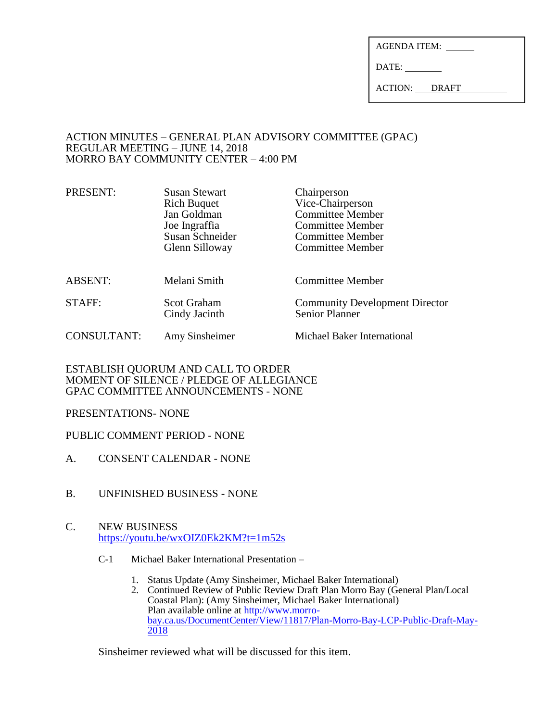| AGENDA ITEM: |  |
|--------------|--|
|              |  |

DATE:

ACTION: DRAFT

## ACTION MINUTES – GENERAL PLAN ADVISORY COMMITTEE (GPAC) REGULAR MEETING – JUNE 14, 2018 MORRO BAY COMMUNITY CENTER – 4:00 PM

| PRESENT:           | <b>Susan Stewart</b><br><b>Rich Buquet</b><br>Jan Goldman<br>Joe Ingraffia<br>Susan Schneider<br>Glenn Silloway | Chairperson<br>Vice-Chairperson<br><b>Committee Member</b><br><b>Committee Member</b><br><b>Committee Member</b><br><b>Committee Member</b> |
|--------------------|-----------------------------------------------------------------------------------------------------------------|---------------------------------------------------------------------------------------------------------------------------------------------|
| <b>ABSENT:</b>     | Melani Smith                                                                                                    | Committee Member                                                                                                                            |
| STAFF:             | <b>Scot Graham</b><br>Cindy Jacinth                                                                             | <b>Community Development Director</b><br><b>Senior Planner</b>                                                                              |
| <b>CONSULTANT:</b> | Amy Sinsheimer                                                                                                  | Michael Baker International                                                                                                                 |

# ESTABLISH QUORUM AND CALL TO ORDER MOMENT OF SILENCE / PLEDGE OF ALLEGIANCE GPAC COMMITTEE ANNOUNCEMENTS - NONE

# PRESENTATIONS- NONE

# PUBLIC COMMENT PERIOD - NONE

- A. CONSENT CALENDAR NONE
- B. UNFINISHED BUSINESS NONE
- C. NEW BUSINESS <https://youtu.be/wxOIZ0Ek2KM?t=1m52s>
	- C-1 Michael Baker International Presentation
		- 1. Status Update (Amy Sinsheimer, Michael Baker International)
		- 2. Continued Review of Public Review Draft Plan Morro Bay (General Plan/Local Coastal Plan): (Amy Sinsheimer, Michael Baker International) Plan available online a[t http://www.morro](http://www.morro-bay.ca.us/DocumentCenter/View/11817/Plan-Morro-Bay-LCP-Public-Draft-May-2018)[bay.ca.us/DocumentCenter/View/11817/Plan-Morro-Bay-LCP-Public-Draft-May-](http://www.morro-bay.ca.us/DocumentCenter/View/11817/Plan-Morro-Bay-LCP-Public-Draft-May-2018)[2018](http://www.morro-bay.ca.us/DocumentCenter/View/11817/Plan-Morro-Bay-LCP-Public-Draft-May-2018)

Sinsheimer reviewed what will be discussed for this item.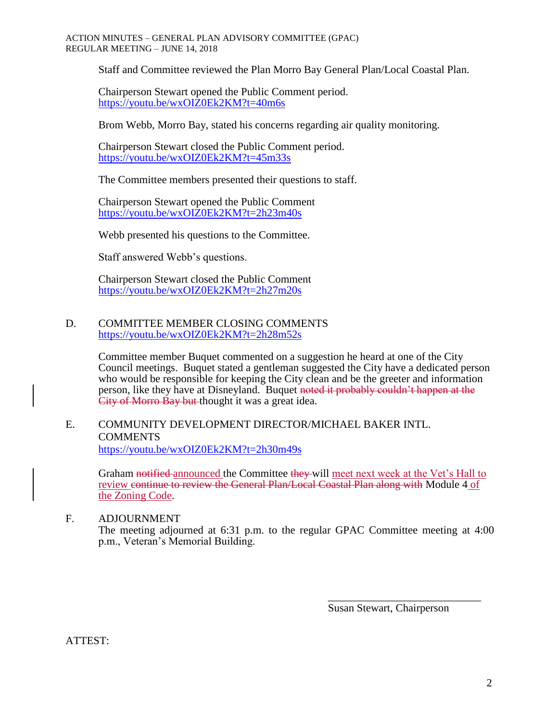Staff and Committee reviewed the Plan Morro Bay General Plan/Local Coastal Plan.

Chairperson Stewart opened the Public Comment period. <https://youtu.be/wxOIZ0Ek2KM?t=40m6s>

Brom Webb, Morro Bay, stated his concerns regarding air quality monitoring.

Chairperson Stewart closed the Public Comment period. <https://youtu.be/wxOIZ0Ek2KM?t=45m33s>

The Committee members presented their questions to staff.

Chairperson Stewart opened the Public Comment <https://youtu.be/wxOIZ0Ek2KM?t=2h23m40s>

Webb presented his questions to the Committee.

Staff answered Webb's questions.

Chairperson Stewart closed the Public Comment <https://youtu.be/wxOIZ0Ek2KM?t=2h27m20s>

### D. COMMITTEE MEMBER CLOSING COMMENTS <https://youtu.be/wxOIZ0Ek2KM?t=2h28m52s>

Committee member Buquet commented on a suggestion he heard at one of the City Council meetings. Buquet stated a gentleman suggested the City have a dedicated person who would be responsible for keeping the City clean and be the greeter and information person, like they have at Disneyland. Buquet noted it probably couldn't happen at the City of Morro Bay but thought it was a great idea.

#### E. COMMUNITY DEVELOPMENT DIRECTOR/MICHAEL BAKER INTL. **COMMENTS** <https://youtu.be/wxOIZ0Ek2KM?t=2h30m49s>

Graham notified announced the Committee they will meet next week at the Vet's Hall to review continue to review the General Plan/Local Coastal Plan along with Module 4 of the Zoning Code.

## F. ADJOURNMENT

The meeting adjourned at 6:31 p.m. to the regular GPAC Committee meeting at 4:00 p.m., Veteran's Memorial Building.

> \_\_\_\_\_\_\_\_\_\_\_\_\_\_\_\_\_\_\_\_\_\_\_\_\_\_\_\_ Susan Stewart, Chairperson

ATTEST: